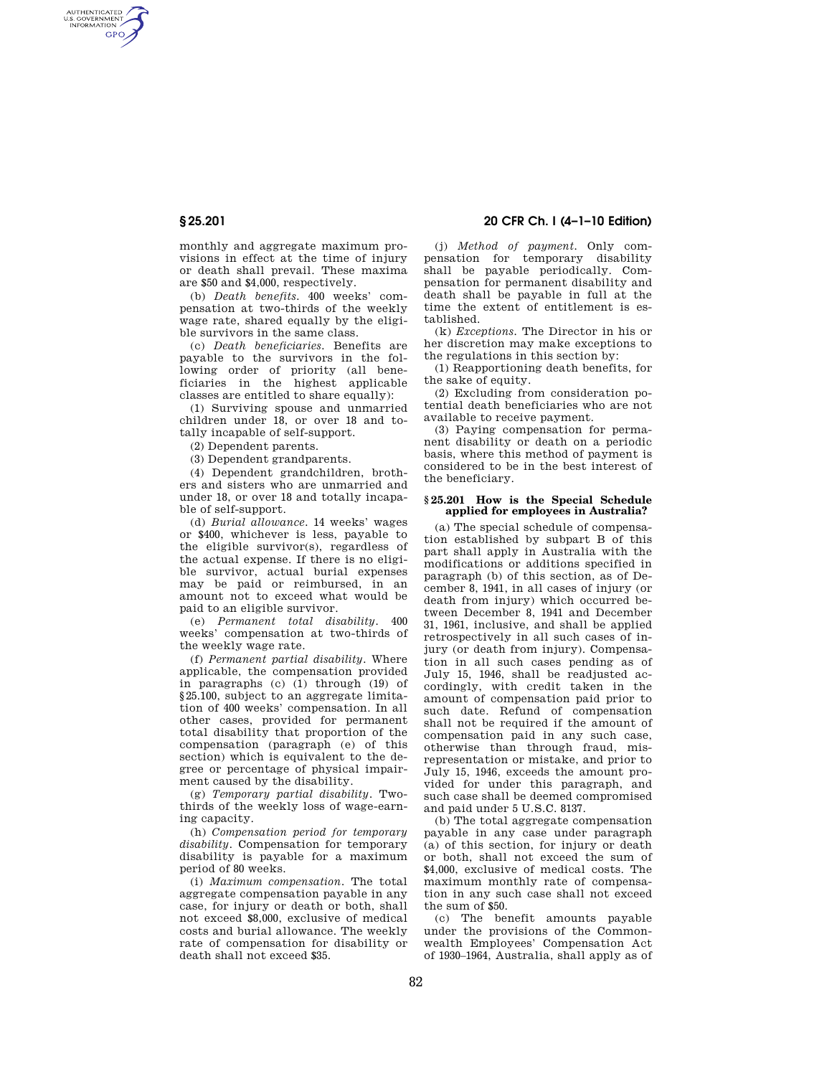AUTHENTICATED<br>U.S. GOVERNMENT<br>INFORMATION **GPO** 

> monthly and aggregate maximum provisions in effect at the time of injury or death shall prevail. These maxima are \$50 and \$4,000, respectively.

> (b) *Death benefits.* 400 weeks' compensation at two-thirds of the weekly wage rate, shared equally by the eligible survivors in the same class.

> (c) *Death beneficiaries.* Benefits are payable to the survivors in the following order of priority (all beneficiaries in the highest applicable classes are entitled to share equally):

(1) Surviving spouse and unmarried children under 18, or over 18 and totally incapable of self-support.

(2) Dependent parents.

(3) Dependent grandparents.

(4) Dependent grandchildren, brothers and sisters who are unmarried and under 18, or over 18 and totally incapable of self-support.

(d) *Burial allowance.* 14 weeks' wages or \$400, whichever is less, payable to the eligible survivor(s), regardless of the actual expense. If there is no eligible survivor, actual burial expenses may be paid or reimbursed, in an amount not to exceed what would be paid to an eligible survivor.

(e) *Permanent total disability.* 400 weeks' compensation at two-thirds of the weekly wage rate.

(f) *Permanent partial disability.* Where applicable, the compensation provided in paragraphs (c) (1) through (19) of §25.100, subject to an aggregate limitation of 400 weeks' compensation. In all other cases, provided for permanent total disability that proportion of the compensation (paragraph (e) of this section) which is equivalent to the degree or percentage of physical impairment caused by the disability.

(g) *Temporary partial disability.* Twothirds of the weekly loss of wage-earning capacity.

(h) *Compensation period for temporary disability.* Compensation for temporary disability is payable for a maximum period of 80 weeks.

(i) *Maximum compensation.* The total aggregate compensation payable in any case, for injury or death or both, shall not exceed \$8,000, exclusive of medical costs and burial allowance. The weekly rate of compensation for disability or death shall not exceed \$35.

# **§ 25.201 20 CFR Ch. I (4–1–10 Edition)**

(j) *Method of payment.* Only compensation for temporary disability shall be payable periodically. Compensation for permanent disability and death shall be payable in full at the time the extent of entitlement is established.

(k) *Exceptions.* The Director in his or her discretion may make exceptions to the regulations in this section by:

(1) Reapportioning death benefits, for the sake of equity.

(2) Excluding from consideration potential death beneficiaries who are not available to receive payment.

(3) Paying compensation for permanent disability or death on a periodic basis, where this method of payment is considered to be in the best interest of the beneficiary.

### **§ 25.201 How is the Special Schedule applied for employees in Australia?**

(a) The special schedule of compensation established by subpart B of this part shall apply in Australia with the modifications or additions specified in paragraph (b) of this section, as of December 8, 1941, in all cases of injury (or death from injury) which occurred between December 8, 1941 and December 31, 1961, inclusive, and shall be applied retrospectively in all such cases of injury (or death from injury). Compensation in all such cases pending as of July 15, 1946, shall be readjusted accordingly, with credit taken in the amount of compensation paid prior to such date. Refund of compensation shall not be required if the amount of compensation paid in any such case, otherwise than through fraud, misrepresentation or mistake, and prior to July 15, 1946, exceeds the amount provided for under this paragraph, and such case shall be deemed compromised and paid under 5 U.S.C. 8137.

(b) The total aggregate compensation payable in any case under paragraph (a) of this section, for injury or death or both, shall not exceed the sum of \$4,000, exclusive of medical costs. The maximum monthly rate of compensation in any such case shall not exceed the sum of \$50.

(c) The benefit amounts payable under the provisions of the Commonwealth Employees' Compensation Act of 1930–1964, Australia, shall apply as of